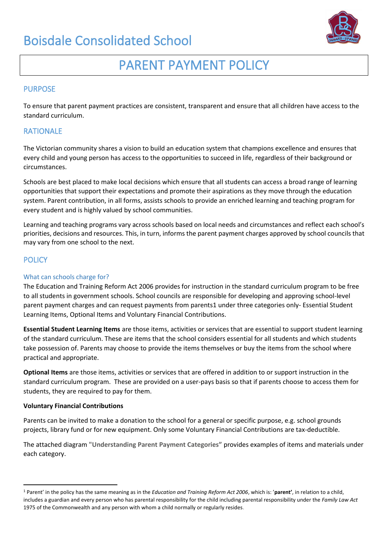

# PARENT PAYMENT POLICY

#### PURPOSE

To ensure that parent payment practices are consistent, transparent and ensure that all children have access to the standard curriculum.

### RATIONALE

The Victorian community shares a vision to build an education system that champions excellence and ensures that every child and young person has access to the opportunities to succeed in life, regardless of their background or circumstances.

Schools are best placed to make local decisions which ensure that all students can access a broad range of learning opportunities that support their expectations and promote their aspirations as they move through the education system. Parent contribution, in all forms, assists schools to provide an enriched learning and teaching program for every student and is highly valued by school communities.

Learning and teaching programs vary across schools based on local needs and circumstances and reflect each school's priorities, decisions and resources. This, in turn, informs the parent payment charges approved by school councils that may vary from one school to the next.

#### **POLICY**

#### What can schools charge for?

The Education and Training Reform Act 2006 provides for instruction in the standard curriculum program to be free to all students in government schools. School councils are responsible for developing and approving school-level parent payment charges and can request payments from parents1 under three categories only- Essential Student Learning Items, Optional Items and Voluntary Financial Contributions.

**Essential Student Learning Items** are those items, activities or services that are essential to support student learning of the standard curriculum. These are items that the school considers essential for all students and which students take possession of. Parents may choose to provide the items themselves or buy the items from the school where practical and appropriate.

**Optional Items** are those items, activities or services that are offered in addition to or support instruction in the standard curriculum program. These are provided on a user-pays basis so that if parents choose to access them for students, they are required to pay for them.

#### **Voluntary Financial Contributions**

Parents can be invited to make a donation to the school for a general or specific purpose, e.g. school grounds projects, library fund or for new equipment. Only some Voluntary Financial Contributions are tax-deductible.

The attached diagram **"Understanding Parent Payment Categories"** provides examples of items and materials under each category.

<sup>1</sup> Parent' in the policy has the same meaning as in the *Education and Training Reform Act 2006*, which is: '**parent'**, in relation to a child, includes a guardian and every person who has parental responsibility for the child including parental responsibility under the *Family Law Act*  1975 of the Commonwealth and any person with whom a child normally or regularly resides.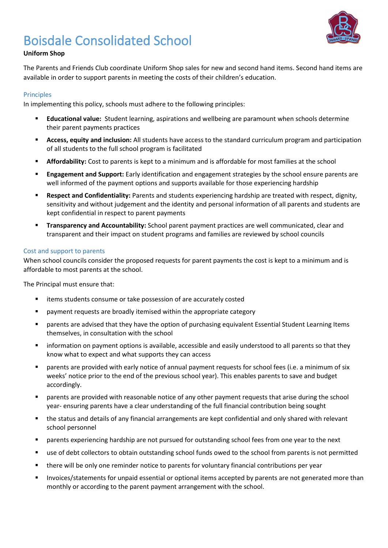

#### **Uniform Shop**

The Parents and Friends Club coordinate Uniform Shop sales for new and second hand items. Second hand items are available in order to support parents in meeting the costs of their children's education.

#### Principles

In implementing this policy, schools must adhere to the following principles:

- **Educational value:** Student learning, aspirations and wellbeing are paramount when schools determine their parent payments practices
- **Access, equity and inclusion:** All students have access to the standard curriculum program and participation of all students to the full school program is facilitated
- **EXEDENTIFY:** Cost to parents is kept to a minimum and is affordable for most families at the school
- **Engagement and Support:** Early identification and engagement strategies by the school ensure parents are well informed of the payment options and supports available for those experiencing hardship
- Respect and Confidentiality: Parents and students experiencing hardship are treated with respect, dignity, sensitivity and without judgement and the identity and personal information of all parents and students are kept confidential in respect to parent payments
- **Transparency and Accountability:** School parent payment practices are well communicated, clear and transparent and their impact on student programs and families are reviewed by school councils

#### Cost and support to parents

When school councils consider the proposed requests for parent payments the cost is kept to a minimum and is affordable to most parents at the school.

The Principal must ensure that:

- items students consume or take possession of are accurately costed
- payment requests are broadly itemised within the appropriate category
- parents are advised that they have the option of purchasing equivalent Essential Student Learning Items themselves, in consultation with the school
- information on payment options is available, accessible and easily understood to all parents so that they know what to expect and what supports they can access
- parents are provided with early notice of annual payment requests for school fees (i.e. a minimum of six weeks' notice prior to the end of the previous school year). This enables parents to save and budget accordingly.
- parents are provided with reasonable notice of any other payment requests that arise during the school year- ensuring parents have a clear understanding of the full financial contribution being sought
- the status and details of any financial arrangements are kept confidential and only shared with relevant school personnel
- **■** parents experiencing hardship are not pursued for outstanding school fees from one year to the next
- use of debt collectors to obtain outstanding school funds owed to the school from parents is not permitted
- there will be only one reminder notice to parents for voluntary financial contributions per year
- Invoices/statements for unpaid essential or optional items accepted by parents are not generated more than monthly or according to the parent payment arrangement with the school.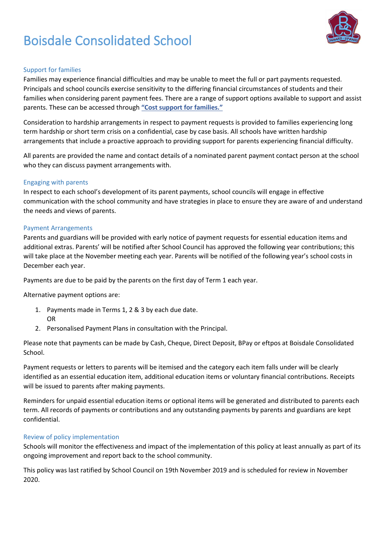

#### Support for families

Families may experience financial difficulties and may be unable to meet the full or part payments requested. Principals and school councils exercise sensitivity to the differing financial circumstances of students and their families when considering parent payment fees. There are a range of support options available to support and assist parents. These can be accessed through **["Cost support for families."](http://www.education.vic.gov.au/Documents/school/principals/spag/management/PP_Costsupportforfamilies.docx)**

Consideration to hardship arrangements in respect to payment requests is provided to families experiencing long term hardship or short term crisis on a confidential, case by case basis. All schools have written hardship arrangements that include a proactive approach to providing support for parents experiencing financial difficulty.

All parents are provided the name and contact details of a nominated parent payment contact person at the school who they can discuss payment arrangements with.

#### Engaging with parents

In respect to each school's development of its parent payments, school councils will engage in effective communication with the school community and have strategies in place to ensure they are aware of and understand the needs and views of parents.

#### Payment Arrangements

Parents and guardians will be provided with early notice of payment requests for essential education items and additional extras. Parents' will be notified after School Council has approved the following year contributions; this will take place at the November meeting each year. Parents will be notified of the following year's school costs in December each year.

Payments are due to be paid by the parents on the first day of Term 1 each year.

Alternative payment options are:

- 1. Payments made in Terms 1, 2 & 3 by each due date. OR
- 2. Personalised Payment Plans in consultation with the Principal.

Please note that payments can be made by Cash, Cheque, Direct Deposit, BPay or eftpos at Boisdale Consolidated School.

Payment requests or letters to parents will be itemised and the category each item falls under will be clearly identified as an essential education item, additional education items or voluntary financial contributions. Receipts will be issued to parents after making payments.

Reminders for unpaid essential education items or optional items will be generated and distributed to parents each term. All records of payments or contributions and any outstanding payments by parents and guardians are kept confidential.

#### Review of policy implementation

Schools will monitor the effectiveness and impact of the implementation of this policy at least annually as part of its ongoing improvement and report back to the school community.

This policy was last ratified by School Council on 19th November 2019 and is scheduled for review in November 2020.